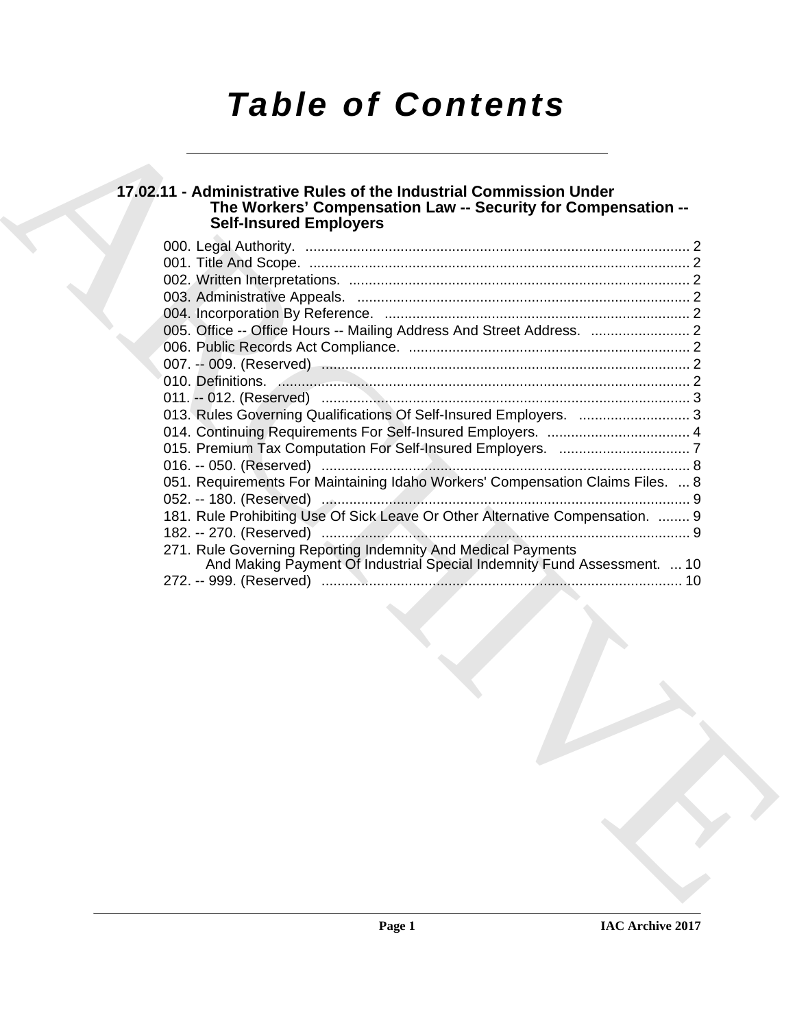# *Table of Contents*

# **17.02.11 - Administrative Rules of the Industrial Commission Under The Workers' Compensation Law -- Security for Compensation -- Self-Insured Employers**

| 013. Rules Governing Qualifications Of Self-Insured Employers.  3              |
|--------------------------------------------------------------------------------|
|                                                                                |
|                                                                                |
| 051. Requirements For Maintaining Idaho Workers' Compensation Claims Files.  8 |
|                                                                                |
| 181. Rule Prohibiting Use Of Sick Leave Or Other Alternative Compensation.  9  |
|                                                                                |
| 271. Rule Governing Reporting Indemnity And Medical Payments                   |
| And Making Payment Of Industrial Special Indemnity Fund Assessment.  10        |
|                                                                                |
|                                                                                |
|                                                                                |
|                                                                                |
|                                                                                |
|                                                                                |
|                                                                                |
|                                                                                |
|                                                                                |
|                                                                                |
|                                                                                |
|                                                                                |
|                                                                                |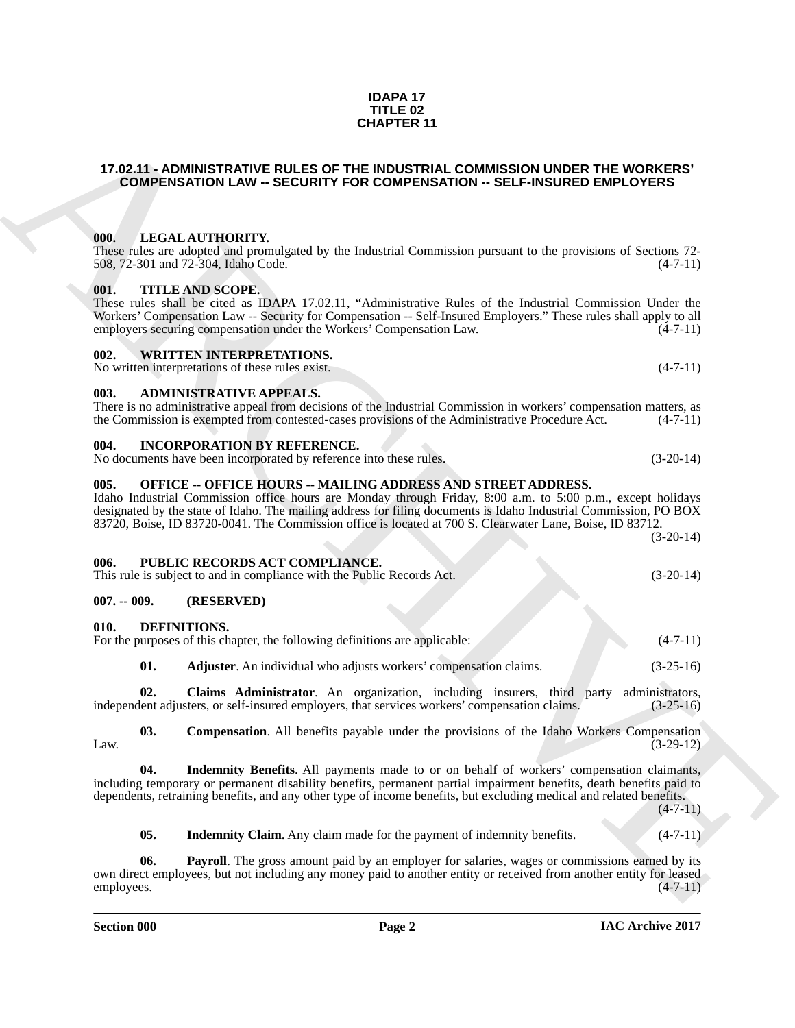# **IAC Archive 2017**

#### **IDAPA 17 TITLE 02 CHAPTER 11**

#### <span id="page-1-0"></span>**17.02.11 - ADMINISTRATIVE RULES OF THE INDUSTRIAL COMMISSION UNDER THE WORKERS' COMPENSATION LAW -- SECURITY FOR COMPENSATION -- SELF-INSURED EMPLOYERS**

## <span id="page-1-1"></span>**000. LEGAL AUTHORITY.**

These rules are adopted and promulgated by the Industrial Commission pursuant to the provisions of Sections 72-<br>508, 72-301 and 72-304, Idaho Code. (4-7-11) 508, 72-301 and 72-304, Idaho Code.

## <span id="page-1-2"></span>**001. TITLE AND SCOPE.**

These rules shall be cited as IDAPA 17.02.11, "Administrative Rules of the Industrial Commission Under the Workers' Compensation Law -- Security for Compensation -- Self-Insured Employers." These rules shall apply to all employers securing compensation under the Workers' Compensation Law. (4-7-11) employers securing compensation under the Workers' Compensation Law.

## <span id="page-1-3"></span>**002. WRITTEN INTERPRETATIONS.**

No written interpretations of these rules exist.  $(4-7-11)$ 

## <span id="page-1-4"></span>**003. ADMINISTRATIVE APPEALS.**

| There is no administrative appeal from decisions of the Industrial Commission in workers' compensation matters, as |            |
|--------------------------------------------------------------------------------------------------------------------|------------|
| the Commission is exempted from contested-cases provisions of the Administrative Procedure Act.                    | $(4-7-11)$ |

# <span id="page-1-5"></span>**004. INCORPORATION BY REFERENCE.**

No documents have been incorporated by reference into these rules. (3-20-14)

# <span id="page-1-6"></span>**005. OFFICE -- OFFICE HOURS -- MAILING ADDRESS AND STREET ADDRESS.**

CHAPTER 11<br>
17.02.11.4 ADMINISTRATIVE ROLLES OF THE ROUSSION UNDER THE WORKERS<br>
COMPENSATION LAW - SECURITY FOR COMPENSATION - SELF-INSURED EMPLOYERS<br>
17.03. ALS ALA (17.14 (POINT), 17.03. I. (17.14 (POINT), 17.14 (POINT) Idaho Industrial Commission office hours are Monday through Friday, 8:00 a.m. to 5:00 p.m., except holidays designated by the state of Idaho. The mailing address for filing documents is Idaho Industrial Commission, PO BOX 83720, Boise, ID 83720-0041. The Commission office is located at 700 S. Clearwater Lane, Boise, ID 83712. (3-20-14)

# <span id="page-1-7"></span>**006. PUBLIC RECORDS ACT COMPLIANCE.**

This rule is subject to and in compliance with the Public Records Act. (3-20-14)

## <span id="page-1-8"></span>**007. -- 009. (RESERVED)**

## <span id="page-1-10"></span><span id="page-1-9"></span>**010. DEFINITIONS.**

<span id="page-1-11"></span>

| For the purposes of this chapter, the following definitions are applicable: | $(4-7-11)$  |
|-----------------------------------------------------------------------------|-------------|
| <b>Adjuster</b> . An individual who adjusts workers' compensation claims.   | $(3-25-16)$ |

<span id="page-1-12"></span>**02.** Claims Administrator. An organization, including insurers, third party administrators, lent adjusters, or self-insured employers, that services workers' compensation claims. (3-25-16) independent adjusters, or self-insured employers, that services workers' compensation claims.

<span id="page-1-13"></span>**03. Compensation**. All benefits payable under the provisions of the Idaho Workers Compensation (3-29-12) Law.  $(3-29-12)$ 

**04. Indemnity Benefits**. All payments made to or on behalf of workers' compensation claimants, including temporary or permanent disability benefits, permanent partial impairment benefits, death benefits paid to dependents, retraining benefits, and any other type of income benefits, but excluding medical and related benefits.

<span id="page-1-16"></span><span id="page-1-15"></span><span id="page-1-14"></span>**05.** Indemnity Claim. Any claim made for the payment of indemnity benefits.  $(4-7-11)$ 

**06.** Payroll. The gross amount paid by an employer for salaries, wages or commissions earned by its own direct employees, but not including any money paid to another entity or received from another entity for leased employees. (4-7-11) employees. (4-7-11)

**Section 000 Page 2**

 $(4 - 7 - 11)$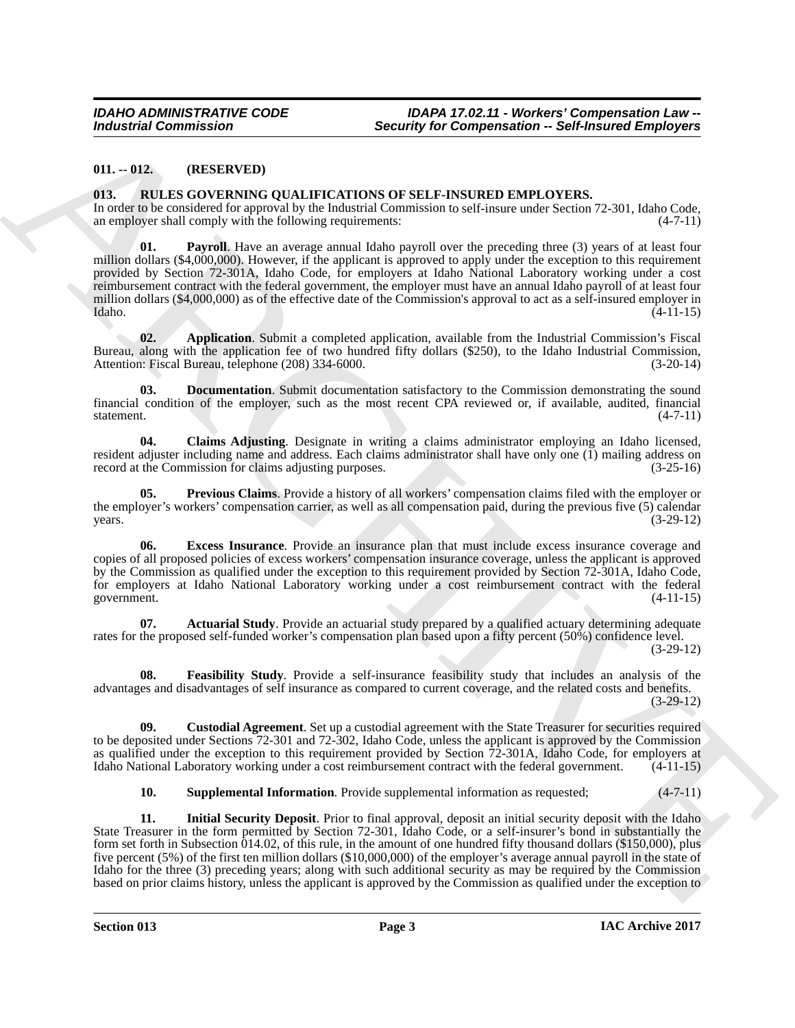# <span id="page-2-0"></span>**011. -- 012. (RESERVED)**

#### <span id="page-2-2"></span><span id="page-2-1"></span>**013. RULES GOVERNING QUALIFICATIONS OF SELF-INSURED EMPLOYERS.**

<span id="page-2-11"></span>In order to be considered for approval by the Industrial Commission to self-insure under Section 72-301, Idaho Code, an employer shall comply with the following requirements:  $(4-7-11)$ an employer shall comply with the following requirements:

Both and The Control of the Companion of the Companion of the Companion of the Control of the Control of the Control of the Control of the Control of the Control of the Control of the Control of the Control of the Control **Payroll**. Have an average annual Idaho payroll over the preceding three (3) years of at least four million dollars (\$4,000,000). However, if the applicant is approved to apply under the exception to this requirement provided by Section 72-301A, Idaho Code, for employers at Idaho National Laboratory working under a cost reimbursement contract with the federal government, the employer must have an annual Idaho payroll of at least four million dollars (\$4,000,000) as of the effective date of the Commission's approval to act as a self-insured employer in Idaho. Idaho. (4-11-15)

<span id="page-2-4"></span>**02. Application**. Submit a completed application, available from the Industrial Commission's Fiscal Bureau, along with the application fee of two hundred fifty dollars (\$250), to the Idaho Industrial Commission, Attention: Fiscal Bureau, telephone (208) 334-6000. (3-20-14) Attention: Fiscal Bureau, telephone (208) 334-6000.

<span id="page-2-7"></span>**03. Documentation**. Submit documentation satisfactory to the Commission demonstrating the sound financial condition of the employer, such as the most recent CPA reviewed or, if available, audited, financial statement. (4-7-11)

<span id="page-2-5"></span>**04. Claims Adjusting**. Designate in writing a claims administrator employing an Idaho licensed, resident adjuster including name and address. Each claims administrator shall have only one (1) mailing address on record at the Commission for claims adjusting purposes. (3-25-16)

<span id="page-2-12"></span>**05. Previous Claims**. Provide a history of all workers' compensation claims filed with the employer or the employer's workers' compensation carrier, as well as all compensation paid, during the previous five (5) calendar  $years.$  (3-29-12)

<span id="page-2-8"></span>**06. Excess Insurance**. Provide an insurance plan that must include excess insurance coverage and copies of all proposed policies of excess workers' compensation insurance coverage, unless the applicant is approved by the Commission as qualified under the exception to this requirement provided by Section 72-301A, Idaho Code, for employers at Idaho National Laboratory working under a cost reimbursement contract with the federal government. (4-11-15)

<span id="page-2-3"></span>**07. Actuarial Study**. Provide an actuarial study prepared by a qualified actuary determining adequate rates for the proposed self-funded worker's compensation plan based upon a fifty percent (50%) confidence level.

(3-29-12)

<span id="page-2-9"></span>**08. Feasibility Study**. Provide a self-insurance feasibility study that includes an analysis of the advantages and disadvantages of self insurance as compared to current coverage, and the related costs and benefits. (3-29-12)

**09. Custodial Agreement**. Set up a custodial agreement with the State Treasurer for securities required to be deposited under Sections 72-301 and 72-302, Idaho Code, unless the applicant is approved by the Commission as qualified under the exception to this requirement provided by Section 72-301A, Idaho Code, for employers at Idaho National Laboratory working under a cost reimbursement contract with the federal government. (4-11-15)

<span id="page-2-13"></span><span id="page-2-10"></span><span id="page-2-6"></span>**10. Supplemental Information**. Provide supplemental information as requested;  $(4-7-11)$ 

**11. Initial Security Deposit**. Prior to final approval, deposit an initial security deposit with the Idaho State Treasurer in the form permitted by Section 72-301, Idaho Code, or a self-insurer's bond in substantially the form set forth in Subsection 014.02, of this rule, in the amount of one hundred fifty thousand dollars (\$150,000), plus five percent (5%) of the first ten million dollars (\$10,000,000) of the employer's average annual payroll in the state of Idaho for the three (3) preceding years; along with such additional security as may be required by the Commission based on prior claims history, unless the applicant is approved by the Commission as qualified under the exception to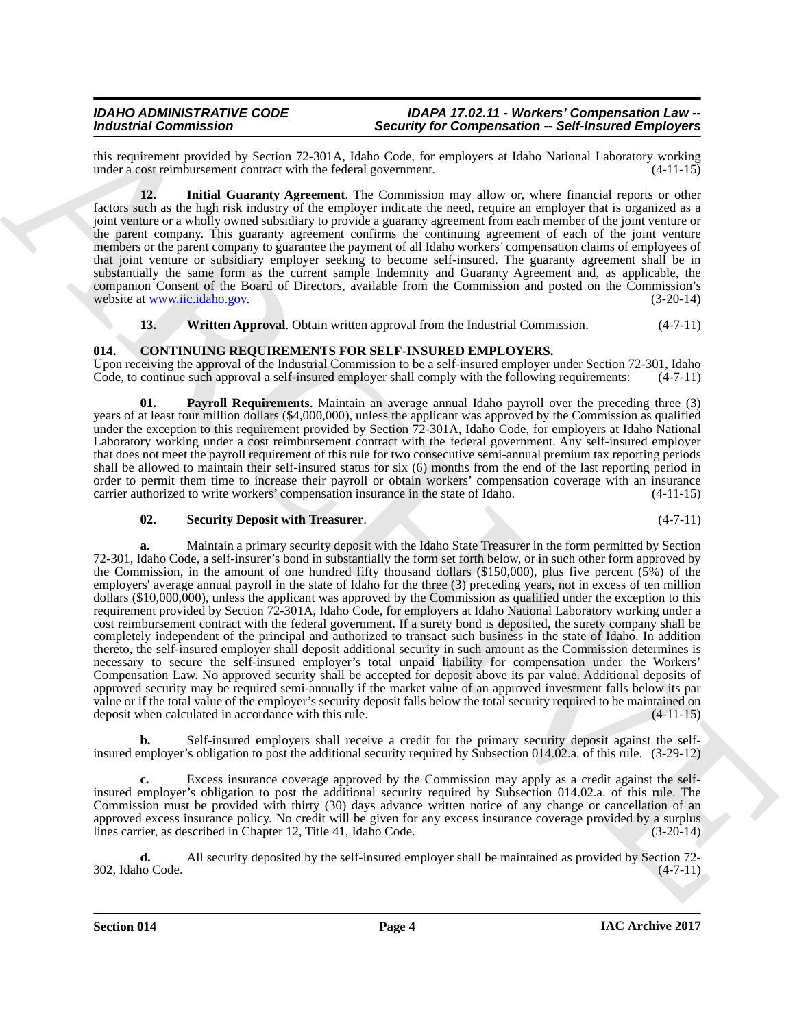#### *IDAHO ADMINISTRATIVE CODE IDAPA 17.02.11 - Workers' Compensation Law -- Industrial Commission Security for Compensation -- Self-Insured Employers*

this requirement provided by Section 72-301A, Idaho Code, for employers at Idaho National Laboratory working<br>under a cost reimbursement contract with the federal government. (4-11-15) under a cost reimbursement contract with the federal government.

<span id="page-3-4"></span>**12. Initial Guaranty Agreement**. The Commission may allow or, where financial reports or other factors such as the high risk industry of the employer indicate the need, require an employer that is organized as a joint venture or a wholly owned subsidiary to provide a guaranty agreement from each member of the joint venture or the parent company. This guaranty agreement confirms the continuing agreement of each of the joint venture members or the parent company to guarantee the payment of all Idaho workers' compensation claims of employees of that joint venture or subsidiary employer seeking to become self-insured. The guaranty agreement shall be in substantially the same form as the current sample Indemnity and Guaranty Agreement and, as applicable, the companion Consent of the Board of Directors, available from the Commission and posted on the Commission's website at www.iic.idaho.gov. (3-20-14)

<span id="page-3-5"></span><span id="page-3-2"></span><span id="page-3-1"></span>**13.** Written Approval. Obtain written approval from the Industrial Commission. (4-7-11)

# <span id="page-3-0"></span>**014. CONTINUING REQUIREMENTS FOR SELF-INSURED EMPLOYERS.**

Upon receiving the approval of the Industrial Commission to be a self-insured employer under Section 72-301, Idaho Code, to continue such approval a self-insured employer shall comply with the following requirements:  $(4-$ Code, to continue such approval a self-insured employer shall comply with the following requirements:

**01. Payroll Requirements**. Maintain an average annual Idaho payroll over the preceding three (3) years of at least four million dollars (\$4,000,000), unless the applicant was approved by the Commission as qualified under the exception to this requirement provided by Section  $72-301$ A, Idaho Code, for employers at Idaho National Laboratory working under a cost reimbursement contract with the federal government. Any self-insured employer that does not meet the payroll requirement of this rule for two consecutive semi-annual premium tax reporting periods shall be allowed to maintain their self-insured status for six (6) months from the end of the last reporting period in order to permit them time to increase their payroll or obtain workers' compensation coverage with an insurance<br>carrier authorized to write workers' compensation insurance in the state of Idaho. (4-11-15) carrier authorized to write workers' compensation insurance in the state of Idaho.

# <span id="page-3-3"></span>**02. Security Deposit with Treasurer**. (4-7-11)

Modera of Commutation Control in the United Section Commutation Commutation Commutation Commutation Commutation Commutation Commutation Commutation Commutation Commutation Commutation Commutation Commutation Commutation C **a.** Maintain a primary security deposit with the Idaho State Treasurer in the form permitted by Section 72-301, Idaho Code, a self-insurer's bond in substantially the form set forth below, or in such other form approved by the Commission, in the amount of one hundred fifty thousand dollars (\$150,000), plus five percent (5%) of the employers' average annual payroll in the state of Idaho for the three (3) preceding years, not in excess of ten million dollars (\$10,000,000), unless the applicant was approved by the Commission as qualified under the exception to this requirement provided by Section 72-301A, Idaho Code, for employers at Idaho National Laboratory working under a cost reimbursement contract with the federal government. If a surety bond is deposited, the surety company shall be completely independent of the principal and authorized to transact such business in the state of Idaho. In addition thereto, the self-insured employer shall deposit additional security in such amount as the Commission determines is necessary to secure the self-insured employer's total unpaid liability for compensation under the Workers' Compensation Law. No approved security shall be accepted for deposit above its par value. Additional deposits of approved security may be required semi-annually if the market value of an approved investment falls below its par value or if the total value of the employer's security deposit falls below the total security required to be maintained on deposit when calculated in accordance with this rule. (4-11-15)

**b.** Self-insured employers shall receive a credit for the primary security deposit against the selfinsured employer's obligation to post the additional security required by Subsection 014.02.a. of this rule. (3-29-12)

Excess insurance coverage approved by the Commission may apply as a credit against the selfinsured employer's obligation to post the additional security required by Subsection 014.02.a. of this rule. The Commission must be provided with thirty (30) days advance written notice of any change or cancellation of an approved excess insurance policy. No credit will be given for any excess insurance coverage provided by a surplus lines carrier, as described in Chapter 12, Title 41, Idaho Code. (3-20-14)

**d.** All security deposited by the self-insured employer shall be maintained as provided by Section 72-<br>10 Code. (4-7-11) 302, Idaho Code.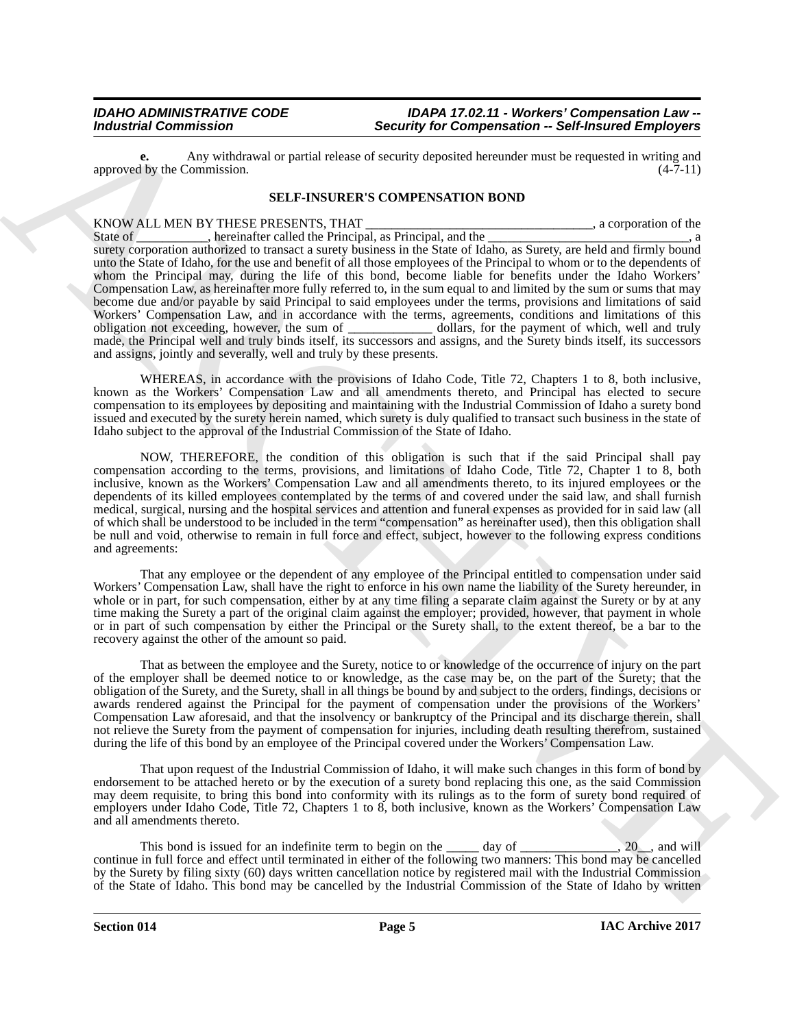#### *IDAHO ADMINISTRATIVE CODE IDAPA 17.02.11 - Workers' Compensation Law -- Industrial Commission Security for Compensation -- Self-Insured Employers*

**e.** Any withdrawal or partial release of security deposited hereunder must be requested in writing and approved by the Commission.

#### **SELF-INSURER'S COMPENSATION BOND**

Broadcare and the state of the state of the state of the state of the state of the state of the state of the state of the state of the state of the state of the state of the state of the state of the state of the state of KNOW ALL MEN BY THESE PRESENTS, THAT \_\_\_\_\_\_\_\_\_\_\_\_\_\_\_\_\_\_\_\_\_\_\_\_\_\_\_\_\_\_\_\_, a corporation of the State of \_\_\_\_\_\_\_\_\_, hereinafter called the Principal, as Principal, and the \_\_\_\_\_\_\_\_\_\_\_\_\_\_\_, a corporation of the . hereinafter called the Principal, as Principal, and the surety corporation authorized to transact a surety business in the State of Idaho, as Surety, are held and firmly bound unto the State of Idaho, for the use and benefit of all those employees of the Principal to whom or to the dependents of whom the Principal may, during the life of this bond, become liable for benefits under the Idaho Workers' Compensation Law, as hereinafter more fully referred to, in the sum equal to and limited by the sum or sums that may become due and/or payable by said Principal to said employees under the terms, provisions and limitations of said Workers' Compensation Law, and in accordance with the terms, agreements, conditions and limitations of this obligation not experience in the sum of which, well and truly made, the Principal well and truly binds itself, its successors and assigns, and the Surety binds itself, its successors and assigns, jointly and severally, well and truly by these presents.

WHEREAS, in accordance with the provisions of Idaho Code, Title 72, Chapters 1 to 8, both inclusive, known as the Workers' Compensation Law and all amendments thereto, and Principal has elected to secure compensation to its employees by depositing and maintaining with the Industrial Commission of Idaho a surety bond issued and executed by the surety herein named, which surety is duly qualified to transact such business in the state of Idaho subject to the approval of the Industrial Commission of the State of Idaho.

NOW, THEREFORE, the condition of this obligation is such that if the said Principal shall pay compensation according to the terms, provisions, and limitations of Idaho Code, Title 72, Chapter 1 to 8, both inclusive, known as the Workers' Compensation Law and all amendments thereto, to its injured employees or the dependents of its killed employees contemplated by the terms of and covered under the said law, and shall furnish medical, surgical, nursing and the hospital services and attention and funeral expenses as provided for in said law (all of which shall be understood to be included in the term "compensation" as hereinafter used), then this obligation shall be null and void, otherwise to remain in full force and effect, subject, however to the following express conditions and agreements:

That any employee or the dependent of any employee of the Principal entitled to compensation under said Workers' Compensation Law, shall have the right to enforce in his own name the liability of the Surety hereunder, in whole or in part, for such compensation, either by at any time filing a separate claim against the Surety or by at any time making the Surety a part of the original claim against the employer; provided, however, that payment in whole or in part of such compensation by either the Principal or the Surety shall, to the extent thereof, be a bar to the recovery against the other of the amount so paid.

That as between the employee and the Surety, notice to or knowledge of the occurrence of injury on the part of the employer shall be deemed notice to or knowledge, as the case may be, on the part of the Surety; that the obligation of the Surety, and the Surety, shall in all things be bound by and subject to the orders, findings, decisions or awards rendered against the Principal for the payment of compensation under the provisions of the Workers' Compensation Law aforesaid, and that the insolvency or bankruptcy of the Principal and its discharge therein, shall not relieve the Surety from the payment of compensation for injuries, including death resulting therefrom, sustained during the life of this bond by an employee of the Principal covered under the Workers' Compensation Law.

That upon request of the Industrial Commission of Idaho, it will make such changes in this form of bond by endorsement to be attached hereto or by the execution of a surety bond replacing this one, as the said Commission may deem requisite, to bring this bond into conformity with its rulings as to the form of surety bond required of employers under Idaho Code, Title 72, Chapters 1 to 8, both inclusive, known as the Workers' Compensation Law and all amendments thereto.

This bond is issued for an indefinite term to begin on the <u>equal</u> day of <u>equal comparentle</u>, 20<sub>\_\_</sub>, and will continue in full force and effect until terminated in either of the following two manners: This bond may be cancelled by the Surety by filing sixty (60) days written cancellation notice by registered mail with the Industrial Commission of the State of Idaho. This bond may be cancelled by the Industrial Commission of the State of Idaho by written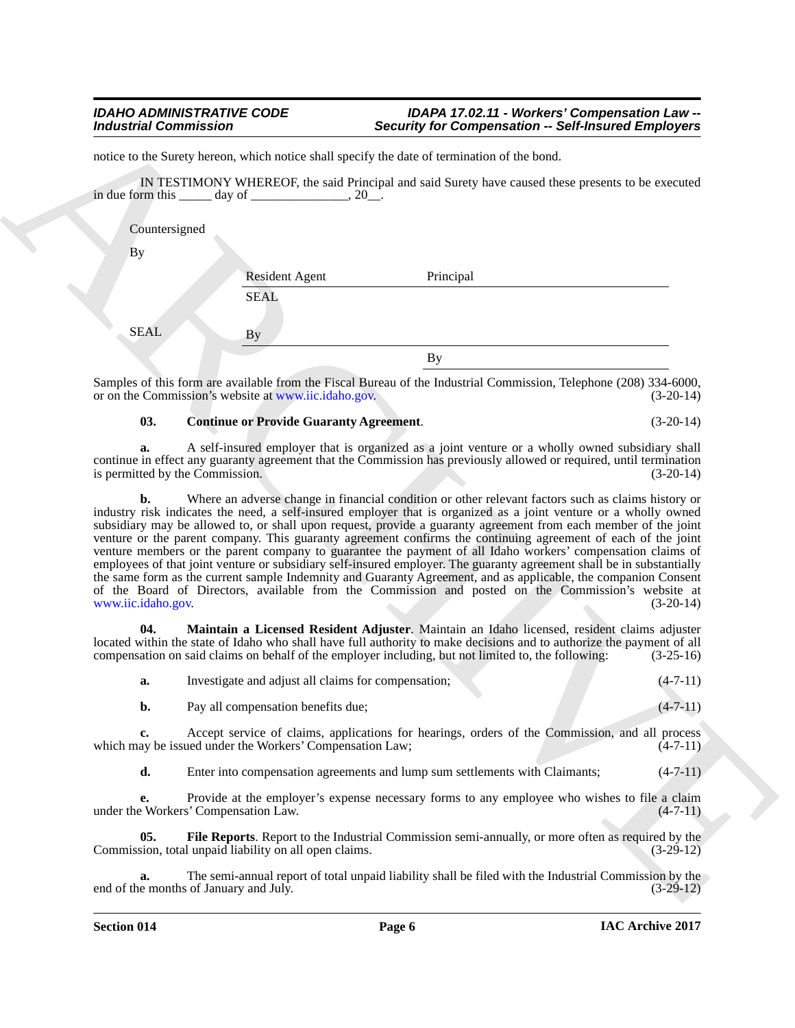|                    | <b>Industrial Commission</b>                                  | <b>Security for Compensation -- Self-Insured Employers</b>                                                                                                                                                                                                                                                                                                                                                                                                                                                                                                                                                                                                                                                                                                                                                           |                |
|--------------------|---------------------------------------------------------------|----------------------------------------------------------------------------------------------------------------------------------------------------------------------------------------------------------------------------------------------------------------------------------------------------------------------------------------------------------------------------------------------------------------------------------------------------------------------------------------------------------------------------------------------------------------------------------------------------------------------------------------------------------------------------------------------------------------------------------------------------------------------------------------------------------------------|----------------|
|                    |                                                               | notice to the Surety hereon, which notice shall specify the date of termination of the bond.                                                                                                                                                                                                                                                                                                                                                                                                                                                                                                                                                                                                                                                                                                                         |                |
|                    | in due form this $\qquad \qquad$ day of $\qquad \qquad$ , 20. | IN TESTIMONY WHEREOF, the said Principal and said Surety have caused these presents to be executed                                                                                                                                                                                                                                                                                                                                                                                                                                                                                                                                                                                                                                                                                                                   |                |
| Countersigned      |                                                               |                                                                                                                                                                                                                                                                                                                                                                                                                                                                                                                                                                                                                                                                                                                                                                                                                      |                |
| By                 |                                                               |                                                                                                                                                                                                                                                                                                                                                                                                                                                                                                                                                                                                                                                                                                                                                                                                                      |                |
|                    | <b>Resident Agent</b>                                         | Principal                                                                                                                                                                                                                                                                                                                                                                                                                                                                                                                                                                                                                                                                                                                                                                                                            |                |
|                    | <b>SEAL</b>                                                   |                                                                                                                                                                                                                                                                                                                                                                                                                                                                                                                                                                                                                                                                                                                                                                                                                      |                |
| <b>SEAL</b>        | <b>By</b>                                                     |                                                                                                                                                                                                                                                                                                                                                                                                                                                                                                                                                                                                                                                                                                                                                                                                                      |                |
|                    |                                                               | <b>By</b>                                                                                                                                                                                                                                                                                                                                                                                                                                                                                                                                                                                                                                                                                                                                                                                                            |                |
|                    | or on the Commission's website at www.iic.idaho.gov.          | Samples of this form are available from the Fiscal Bureau of the Industrial Commission, Telephone (208) 334-6000,                                                                                                                                                                                                                                                                                                                                                                                                                                                                                                                                                                                                                                                                                                    | $(3-20-14)$    |
| 03.                | <b>Continue or Provide Guaranty Agreement.</b>                |                                                                                                                                                                                                                                                                                                                                                                                                                                                                                                                                                                                                                                                                                                                                                                                                                      | $(3-20-14)$    |
| a.                 | is permitted by the Commission.                               | A self-insured employer that is organized as a joint venture or a wholly owned subsidiary shall<br>continue in effect any guaranty agreement that the Commission has previously allowed or required, until termination                                                                                                                                                                                                                                                                                                                                                                                                                                                                                                                                                                                               | $(3-20-14)$    |
| www.iic.idaho.gov. |                                                               | industry risk indicates the need, a self-insured employer that is organized as a joint venture or a wholly owned<br>subsidiary may be allowed to, or shall upon request, provide a guaranty agreement from each member of the joint<br>venture or the parent company. This guaranty agreement confirms the continuing agreement of each of the joint<br>venture members or the parent company to guarantee the payment of all Idaho workers' compensation claims of<br>employees of that joint venture or subsidiary self-insured employer. The guaranty agreement shall be in substantially<br>the same form as the current sample Indemnity and Guaranty Agreement, and as applicable, the companion Consent<br>of the Board of Directors, available from the Commission and posted on the Commission's website at | $(3-20-14)$    |
| 04.                |                                                               | Maintain a Licensed Resident Adjuster. Maintain an Idaho licensed, resident claims adjuster<br>located within the state of Idaho who shall have full authority to make decisions and to authorize the payment of all<br>compensation on said claims on behalf of the employer including, but not limited to, the following:                                                                                                                                                                                                                                                                                                                                                                                                                                                                                          | $(3-25-16)$    |
| a.                 |                                                               | Investigate and adjust all claims for compensation;                                                                                                                                                                                                                                                                                                                                                                                                                                                                                                                                                                                                                                                                                                                                                                  | $(4-7-11)$     |
| b.                 | Pay all compensation benefits due;                            |                                                                                                                                                                                                                                                                                                                                                                                                                                                                                                                                                                                                                                                                                                                                                                                                                      | $(4 - 7 - 11)$ |
| c.                 | which may be issued under the Workers' Compensation Law;      | Accept service of claims, applications for hearings, orders of the Commission, and all process                                                                                                                                                                                                                                                                                                                                                                                                                                                                                                                                                                                                                                                                                                                       | $(4-7-11)$     |
| d.                 |                                                               | Enter into compensation agreements and lump sum settlements with Claimants;                                                                                                                                                                                                                                                                                                                                                                                                                                                                                                                                                                                                                                                                                                                                          | $(4-7-11)$     |
| е.                 | under the Workers' Compensation Law.                          | Provide at the employer's expense necessary forms to any employee who wishes to file a claim                                                                                                                                                                                                                                                                                                                                                                                                                                                                                                                                                                                                                                                                                                                         | $(4-7-11)$     |
| 05.                | Commission, total unpaid liability on all open claims.        | File Reports. Report to the Industrial Commission semi-annually, or more often as required by the                                                                                                                                                                                                                                                                                                                                                                                                                                                                                                                                                                                                                                                                                                                    | $(3-29-12)$    |
|                    |                                                               |                                                                                                                                                                                                                                                                                                                                                                                                                                                                                                                                                                                                                                                                                                                                                                                                                      |                |

#### <span id="page-5-0"></span>**03. Continue or Provide Guaranty Agreement**. (3-20-14)

<span id="page-5-2"></span><span id="page-5-1"></span>

| Investigate and adjust all claims for compensation; |  | $(4-7-11)$ |
|-----------------------------------------------------|--|------------|
| Pay all compensation benefits due:                  |  | $(4-7-11)$ |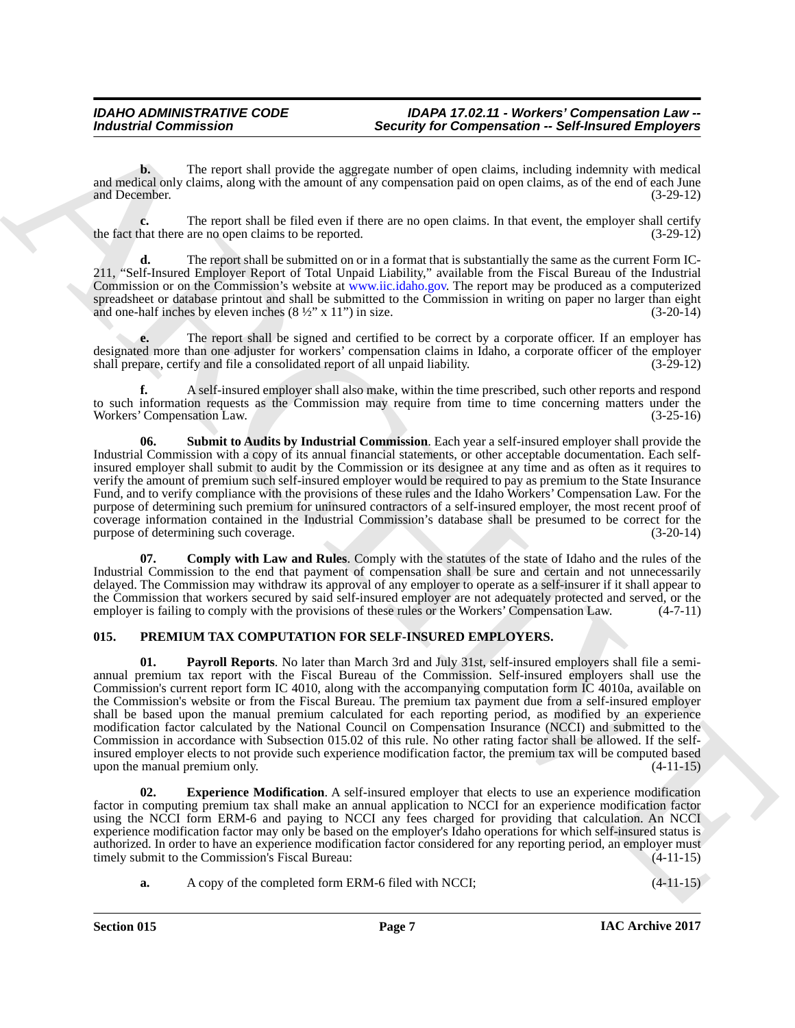**b.** The report shall provide the aggregate number of open claims, including indemnity with medical and medical only claims, along with the amount of any compensation paid on open claims, as of the end of each June and December. (3-29-12) and December.

**c.** The report shall be filed even if there are no open claims. In that event, the employer shall certify hat there are no open claims to be reported. (3-29-12) the fact that there are no open claims to be reported.

**d.** The report shall be submitted on or in a format that is substantially the same as the current Form IC-211, "Self-Insured Employer Report of Total Unpaid Liability," available from the Fiscal Bureau of the Industrial Commission or on the Commission's website at www.iic.idaho.gov. The report may be produced as a computerized spreadsheet or database printout and shall be submitted to the Commission in writing on paper no larger than eight and one-half inches by eleven inches  $(8\frac{1}{2}$ " x 11" in size. and one-half inches by eleven inches  $(8 \frac{1}{2}$ " x 11") in size.

**e.** The report shall be signed and certified to be correct by a corporate officer. If an employer has designated more than one adjuster for workers' compensation claims in Idaho, a corporate officer of the employer shall prepare, certify and file a consolidated report of all unpaid liability. (3-29-12) shall prepare, certify and file a consolidated report of all unpaid liability.

**f.** A self-insured employer shall also make, within the time prescribed, such other reports and respond to such information requests as the Commission may require from time to time concerning matters under the Workers' Compensation Law. (3-25-16) Workers' Compensation Law.

<span id="page-6-2"></span>**06. Submit to Audits by Industrial Commission**. Each year a self-insured employer shall provide the Industrial Commission with a copy of its annual financial statements, or other acceptable documentation. Each selfinsured employer shall submit to audit by the Commission or its designee at any time and as often as it requires to verify the amount of premium such self-insured employer would be required to pay as premium to the State Insurance Fund, and to verify compliance with the provisions of these rules and the Idaho Workers' Compensation Law. For the purpose of determining such premium for uninsured contractors of a self-insured employer, the most recent proof of coverage information contained in the Industrial Commission's database shall be presumed to be correct for the purpose of determining such coverage.

<span id="page-6-1"></span>**07. Comply with Law and Rules**. Comply with the statutes of the state of Idaho and the rules of the Industrial Commission to the end that payment of compensation shall be sure and certain and not unnecessarily delayed. The Commission may withdraw its approval of any employer to operate as a self-insurer if it shall appear to the Commission that workers secured by said self-insured employer are not adequately protected and served, or the employer is failing to comply with the provisions of these rules or the Workers' Compensation Law. (4-7-11)

# <span id="page-6-5"></span><span id="page-6-3"></span><span id="page-6-0"></span>**015. PREMIUM TAX COMPUTATION FOR SELF-INSURED EMPLOYERS.**

Between the report of the probability of Composition – Solved Employee and Composition – Solved Employee Employee and Composition – Solved Employee Employee and Composition – Solved Employee and Composition – Solved Emplo **01. Payroll Reports**. No later than March 3rd and July 31st, self-insured employers shall file a semiannual premium tax report with the Fiscal Bureau of the Commission. Self-insured employers shall use the Commission's current report form IC 4010, along with the accompanying computation form IC 4010a, available on the Commission's website or from the Fiscal Bureau. The premium tax payment due from a self-insured employer shall be based upon the manual premium calculated for each reporting period, as modified by an experience modification factor calculated by the National Council on Compensation Insurance (NCCI) and submitted to the Commission in accordance with Subsection 015.02 of this rule. No other rating factor shall be allowed. If the selfinsured employer elects to not provide such experience modification factor, the premium tax will be computed based upon the manual premium only. (4-11-15)

<span id="page-6-4"></span>**02. Experience Modification**. A self-insured employer that elects to use an experience modification factor in computing premium tax shall make an annual application to NCCI for an experience modification factor using the NCCI form ERM-6 and paying to NCCI any fees charged for providing that calculation. An NCCI experience modification factor may only be based on the employer's Idaho operations for which self-insured status is authorized. In order to have an experience modification factor considered for any reporting period, an employer must<br>timely submit to the Commission's Fiscal Bureau: (4-11-15) timely submit to the Commission's Fiscal Bureau:

**a.** A copy of the completed form ERM-6 filed with NCCI;  $(4-11-15)$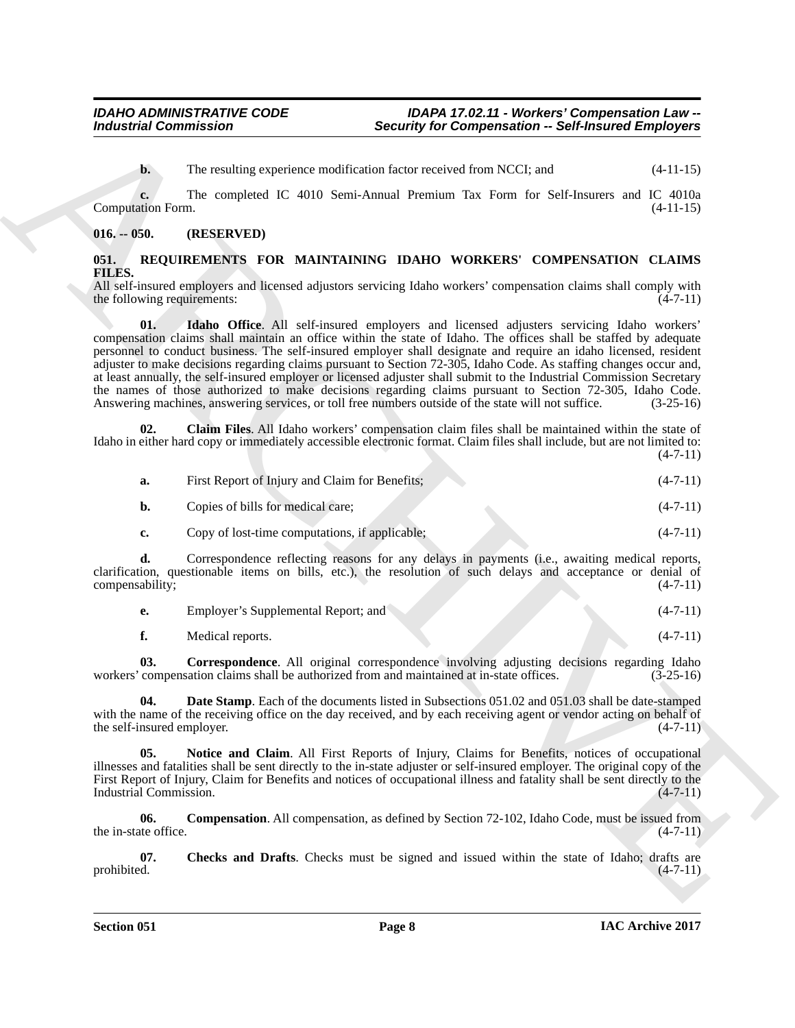**b.** The resulting experience modification factor received from NCCI; and  $(4-11-15)$ 

**c.** The completed IC 4010 Semi-Annual Premium Tax Form for Self-Insurers and IC 4010a Computation Form. (4-11-15)

#### <span id="page-7-0"></span>**016. -- 050. (RESERVED)**

# <span id="page-7-2"></span><span id="page-7-1"></span>**051. REQUIREMENTS FOR MAINTAINING IDAHO WORKERS' COMPENSATION CLAIMS FILES.**

<span id="page-7-8"></span>All self-insured employers and licensed adjustors servicing Idaho workers' compensation claims shall comply with the following requirements: (4-7-11) the following requirements:

For the resulting of Compensation - Security for Compensation - Self-distance Employees<br>
The computation and China ARCHIVE (Fig. 2010) Self-distance track of Recal to Self-distance and C<sub>1</sub> (11.15)<br>
Computation Tom **EXECU 01. Idaho Office**. All self-insured employers and licensed adjusters servicing Idaho workers' compensation claims shall maintain an office within the state of Idaho. The offices shall be staffed by adequate personnel to conduct business. The self-insured employer shall designate and require an idaho licensed, resident adjuster to make decisions regarding claims pursuant to Section 72-305, Idaho Code. As staffing changes occur and, at least annually, the self-insured employer or licensed adjuster shall submit to the Industrial Commission Secretary the names of those authorized to make decisions regarding claims pursuant to Section 72-305, Idaho Code. Answering machines, answering services, or toll free numbers outside of the state will not suffice. (3-25-16)

**02. Claim Files**. All Idaho workers' compensation claim files shall be maintained within the state of Idaho in either hard copy or immediately accessible electronic format. Claim files shall include, but are not limited to:  $(4 - 7 - 11)$ 

<span id="page-7-4"></span>

| a. | First Report of Injury and Claim for Benefits; | $(4-7-11)$ |  |
|----|------------------------------------------------|------------|--|
|    |                                                |            |  |

| b. | Copies of bills for medical care: | $(4-7-11)$ |  |
|----|-----------------------------------|------------|--|
|    |                                   |            |  |

**c.** Copy of lost-time computations, if applicable; (4-7-11)

**d.** Correspondence reflecting reasons for any delays in payments (i.e., awaiting medical reports, clarification, questionable items on bills, etc.), the resolution of such delays and acceptance or denial of compensability; (4-7-11)

| Employer's Supplemental Report; and |  | $(4-7-11)$ |
|-------------------------------------|--|------------|
|-------------------------------------|--|------------|

<span id="page-7-7"></span><span id="page-7-6"></span>**f.** Medical reports. (4-7-11)

**03.** Correspondence. All original correspondence involving adjusting decisions regarding Idaho compensation claims shall be authorized from and maintained at in-state offices. (3-25-16) workers' compensation claims shall be authorized from and maintained at in-state offices.

**04. Date Stamp**. Each of the documents listed in Subsections 051.02 and 051.03 shall be date-stamped with the name of the receiving office on the day received, and by each receiving agent or vendor acting on behalf of the self-insured employer.  $(4-7-11)$ the self-insured employer.

<span id="page-7-9"></span>**05. Notice and Claim**. All First Reports of Injury, Claims for Benefits, notices of occupational illnesses and fatalities shall be sent directly to the in-state adjuster or self-insured employer. The original copy of the First Report of Injury, Claim for Benefits and notices of occupational illness and fatality shall be sent directly to the Industrial Commission. (4-7-11) Industrial Commission.

<span id="page-7-5"></span>**06. Compensation**. All compensation, as defined by Section 72-102, Idaho Code, must be issued from the in-state office.  $(4-7-11)$ 

<span id="page-7-3"></span>**07.** Checks and Drafts. Checks must be signed and issued within the state of Idaho; drafts are prohibited. (4-7-11) prohibited. (4-7-11)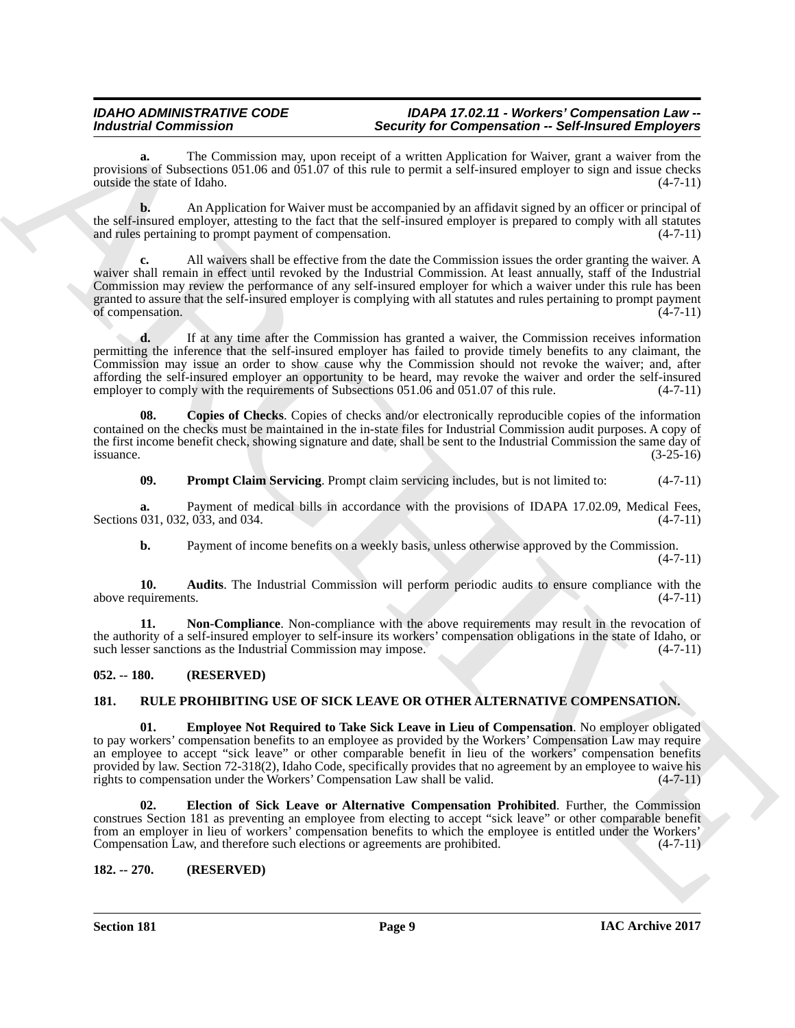# *IDAHO ADMINISTRATIVE CODE IDAPA 17.02.11 - Workers' Compensation Law -- Industrial Commission Security for Compensation -- Self-Insured Employers*

**a.** The Commission may, upon receipt of a written Application for Waiver, grant a waiver from the provisions of Subsections 051.06 and 051.07 of this rule to permit a self-insured employer to sign and issue checks outside the state of Idaho. (4-7-11)

**b.** An Application for Waiver must be accompanied by an affidavit signed by an officer or principal of the self-insured employer, attesting to the fact that the self-insured employer is prepared to comply with all statutes and rules pertaining to prompt payment of compensation.  $(4-7-11)$ and rules pertaining to prompt payment of compensation.

*Industrial* Commutation 2018 **Security is the composition** of the second and the second and the second and the second and interest in the second and the second and the second and the second and the second and the second **c.** All waivers shall be effective from the date the Commission issues the order granting the waiver. A waiver shall remain in effect until revoked by the Industrial Commission. At least annually, staff of the Industrial Commission may review the performance of any self-insured employer for which a waiver under this rule has been granted to assure that the self-insured employer is complying with all statutes and rules pertaining to prompt payment of compensation. (4-7-11) of compensation.

**d.** If at any time after the Commission has granted a waiver, the Commission receives information permitting the inference that the self-insured employer has failed to provide timely benefits to any claimant, the Commission may issue an order to show cause why the Commission should not revoke the waiver; and, after affording the self-insured employer an opportunity to be heard, may revoke the waiver and order the self-insured employer to comply with the requirements of Subsections 051.06 and 051.07 of this rule. (4-7-11)

**08. Copies of Checks**. Copies of checks and/or electronically reproducible copies of the information contained on the checks must be maintained in the in-state files for Industrial Commission audit purposes. A copy of the first income benefit check, showing signature and date, shall be sent to the Industrial Commission the same day of issuance. (3-25-16)  $is$ suance.  $(3-25-16)$ 

<span id="page-8-6"></span><span id="page-8-4"></span>**09. Prompt Claim Servicing**. Prompt claim servicing includes, but is not limited to:  $(4-7-11)$ 

**a.** Payment of medical bills in accordance with the provisions of IDAPA 17.02.09, Medical Fees, 031, 032, 033, and 034.  $(4-7-11)$ Sections 031, 032, 033, and 034.

<span id="page-8-5"></span><span id="page-8-3"></span>**b.** Payment of income benefits on a weekly basis, unless otherwise approved by the Commission.  $(4 - 7 - 11)$ 

**10. Audits**. The Industrial Commission will perform periodic audits to ensure compliance with the quirements.  $(4-7-11)$ above requirements.

**Non-Compliance**. Non-compliance with the above requirements may result in the revocation of the authority of a self-insured employer to self-insure its workers' compensation obligations in the state of Idaho, or such lesser sanctions as the Industrial Commission may impose.  $(4-7-11)$ such lesser sanctions as the Industrial Commission may impose.

# <span id="page-8-0"></span>**052. -- 180. (RESERVED)**

# <span id="page-8-7"></span><span id="page-8-1"></span>**181. RULE PROHIBITING USE OF SICK LEAVE OR OTHER ALTERNATIVE COMPENSATION.**

<span id="page-8-9"></span>**01. Employee Not Required to Take Sick Leave in Lieu of Compensation**. No employer obligated to pay workers' compensation benefits to an employee as provided by the Workers' Compensation Law may require an employee to accept "sick leave" or other comparable benefit in lieu of the workers' compensation benefits provided by law. Section 72-318(2), Idaho Code, specifically provides that no agreement by an employee to waive his rights to compensation under the Workers' Compensation Law shall be valid.  $(4-7-11)$ 

<span id="page-8-8"></span>**02. Election of Sick Leave or Alternative Compensation Prohibited**. Further, the Commission construes Section 181 as preventing an employee from electing to accept "sick leave" or other comparable benefit from an employer in lieu of workers' compensation benefits to which the employee is entitled under the Workers'<br>Compensation Law, and therefore such elections or agreements are prohibited. (4-7-11) Compensation Law, and therefore such elections or agreements are prohibited.

# <span id="page-8-2"></span>**182. -- 270. (RESERVED)**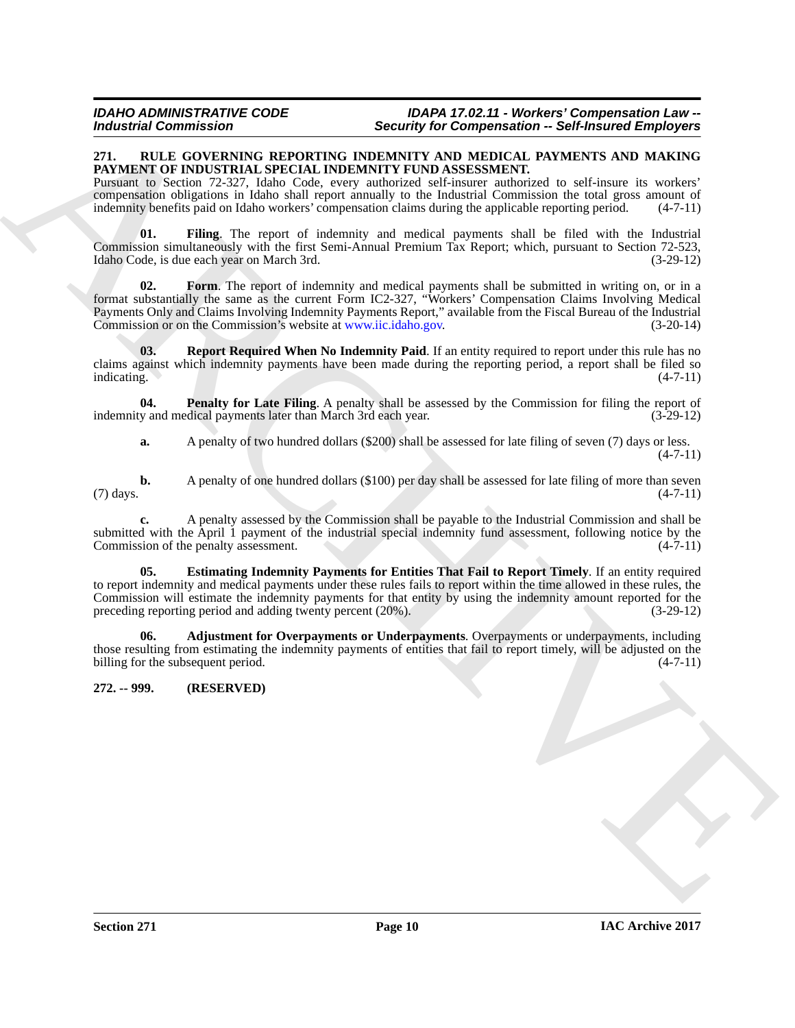#### <span id="page-9-2"></span><span id="page-9-0"></span>**271. RULE GOVERNING REPORTING INDEMNITY AND MEDICAL PAYMENTS AND MAKING PAYMENT OF INDUSTRIAL SPECIAL INDEMNITY FUND ASSESSMENT.**

Pursuant to Section 72-327, Idaho Code, every authorized self-insurer authorized to self-insure its workers' compensation obligations in Idaho shall report annually to the Industrial Commission the total gross amount of indemnity benefits paid on Idaho workers' compensation claims during the applicable reporting period. (4-7-11)

<span id="page-9-5"></span>**01. Filing**. The report of indemnity and medical payments shall be filed with the Industrial Commission simultaneously with the first Semi-Annual Premium Tax Report; which, pursuant to Section 72-523, Idaho Code, is due each year on March 3rd. (3-29-12)

<span id="page-9-6"></span>**02. Form**. The report of indemnity and medical payments shall be submitted in writing on, or in a format substantially the same as the current Form IC2-327, "Workers' Compensation Claims Involving Medical Payments Only and Claims Involving Indemnity Payments Report," available from the Fiscal Bureau of the Industrial Commission or on the Commission's website at www.iic.idaho.gov. (3-20-14)

<span id="page-9-8"></span>**03. Report Required When No Indemnity Paid**. If an entity required to report under this rule has no claims against which indemnity payments have been made during the reporting period, a report shall be filed so indicating. (4-7-11) indicating. (4-7-11)

**04. Penalty for Late Filing**. A penalty shall be assessed by the Commission for filing the report of indemnity and medical payments later than March 3rd each year. (3-29-12)

<span id="page-9-7"></span>**a.** A penalty of two hundred dollars (\$200) shall be assessed for late filing of seven (7) days or less.  $(4 - 7 - 11)$ 

**b.** A penalty of one hundred dollars (\$100) per day shall be assessed for late filing of more than seven (4-7-11)  $(7)$  days.  $(4-7-11)$ 

<span id="page-9-4"></span>**c.** A penalty assessed by the Commission shall be payable to the Industrial Commission and shall be submitted with the April 1 payment of the industrial special indemnity fund assessment, following notice by the Commission of the penalty assessment.  $(4-7-11)$ Commission of the penalty assessment.

Moderatio Commutation 2.1 The space of the space of the space of the space of the space of the space of the space of the space of the space of the space of the space of the space of the space of the space of the space of **05. Estimating Indemnity Payments for Entities That Fail to Report Timely**. If an entity required to report indemnity and medical payments under these rules fails to report within the time allowed in these rules, the Commission will estimate the indemnity payments for that entity by using the indemnity amount reported for the preceding reporting period and adding twenty percent (20%). (3-29-12) preceding reporting period and adding twenty percent (20%).

<span id="page-9-3"></span>**06. Adjustment for Overpayments or Underpayments**. Overpayments or underpayments, including those resulting from estimating the indemnity payments of entities that fail to report timely, will be adjusted on the billing for the subsequent period.  $(4-7-11)$ billing for the subsequent period.

# <span id="page-9-1"></span>**272. -- 999. (RESERVED)**